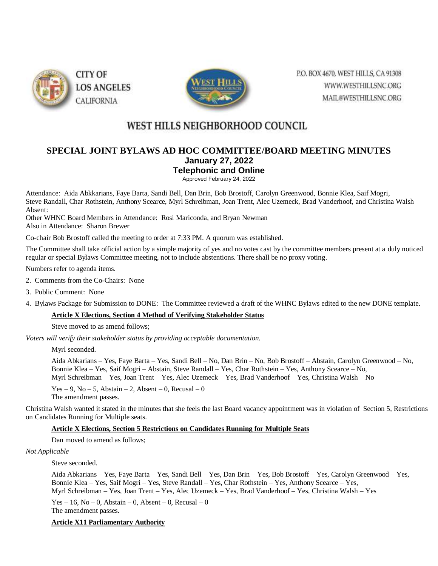



P.O. BOX 4670, WEST HILLS, CA 91308 WWW.WESTHILLSNC.ORG MAIL@WESTHILLSNC.ORG

# WEST HILLS NEIGHBORHOOD COUNCIL

## **SPECIAL JOINT BYLAWS AD HOC COMMITTEE/BOARD MEETING MINUTES January 27, 2022 Telephonic and Online**

Approved February 24, 2022

Attendance: Aida Abkkarians, Faye Barta, Sandi Bell, Dan Brin, Bob Brostoff, Carolyn Greenwood, Bonnie Klea, Saif Mogri, Steve Randall, Char Rothstein, Anthony Scearce, Myrl Schreibman, Joan Trent, Alec Uzemeck, Brad Vanderhoof, and Christina Walsh Absent:

Other WHNC Board Members in Attendance: Rosi Mariconda, and Bryan Newman Also in Attendance: Sharon Brewer

Co-chair Bob Brostoff called the meeting to order at 7:33 PM. A quorum was established.

The Committee shall take official action by a simple majority of yes and no votes cast by the committee members present at a duly noticed regular or special Bylaws Committee meeting, not to include abstentions. There shall be no proxy voting.

Numbers refer to agenda items.

- 2. Comments from the Co-Chairs: None
- 3. Public Comment: None
- 4. Bylaws Package for Submission to DONE: The Committee reviewed a draft of the WHNC Bylaws edited to the new DONE template.

#### **Article X Elections, Section 4 Method of Verifying Stakeholder Status**

Steve moved to as amend follows;

*Voters will verify their stakeholder status by providing acceptable documentation.*

Myrl seconded.

Aida Abkarians – Yes, Faye Barta – Yes, Sandi Bell – No, Dan Brin – No, Bob Brostoff – Abstain, Carolyn Greenwood – No, Bonnie Klea – Yes, Saif Mogri – Abstain, Steve Randall – Yes, Char Rothstein – Yes, Anthony Scearce – No, Myrl Schreibman – Yes, Joan Trent – Yes, Alec Uzemeck – Yes, Brad Vanderhoof – Yes, Christina Walsh – No

Yes – 9, No – 5, Abstain – 2, Absent – 0, Recusal – 0 The amendment passes.

Christina Walsh wanted it stated in the minutes that she feels the last Board vacancy appointment was in violation of Section 5, Restrictions on Candidates Running for Multiple seats.

#### **Article X Elections, Section 5 Restrictions on Candidates Running for Multiple Seats**

Dan moved to amend as follows;

*Not Applicable*

Steve seconded.

Aida Abkarians – Yes, Faye Barta – Yes, Sandi Bell – Yes, Dan Brin – Yes, Bob Brostoff – Yes, Carolyn Greenwood – Yes, Bonnie Klea – Yes, Saif Mogri – Yes, Steve Randall – Yes, Char Rothstein – Yes, Anthony Scearce – Yes, Myrl Schreibman – Yes, Joan Trent – Yes, Alec Uzemeck – Yes, Brad Vanderhoof – Yes, Christina Walsh – Yes

Yes – 16, No – 0, Abstain – 0, Absent – 0, Recusal – 0 The amendment passes.

#### **Article X11 Parliamentary Authority**